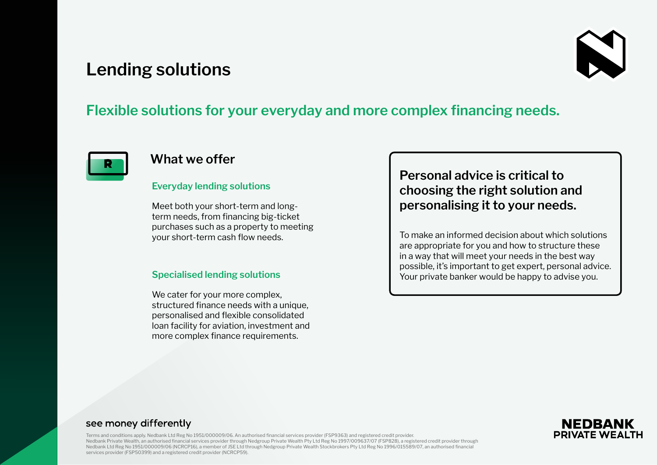# **Lending solutions**



## **Flexible solutions for your everyday and more complex financing needs.**



### **What we offer**

#### **Everyday lending solutions**

Meet both your short-term and longterm needs, from financing big-ticket purchases such as a property to meeting your short-term cash flow needs.

#### **Specialised lending solutions**

We cater for your more complex, structured finance needs with a unique, personalised and flexible consolidated loan facility for aviation, investment and more complex finance requirements.

## **Personal advice is critical to choosing the right solution and personalising it to your needs.**

To make an informed decision about which solutions are appropriate for you and how to structure these in a way that will meet your needs in the best way possible, it's important to get expert, personal advice. Your private banker would be happy to advise you.

#### **NEDBAI PRIVATE WEA**

#### see money differently

Terms and conditions apply. Nedbank Ltd Reg No 1951/000009/06. An authorised financial services provider (FSP9363) and registered credit provider. Nedbank Private Wealth, an authorised financial services provider through Nedgroup Private Wealth Pty Ltd Reg No 1997/009637/07 (FSP828), a registered credit provider through Nedbank Ltd Reg No 1951/000009/06 (NCRCP16), a member of JSE Ltd through Nedgroup Private Wealth Stockbrokers Pty Ltd Reg No 1996/015589/07, an authorised financial services provider (FSP50399) and a registered credit provider (NCRCP59).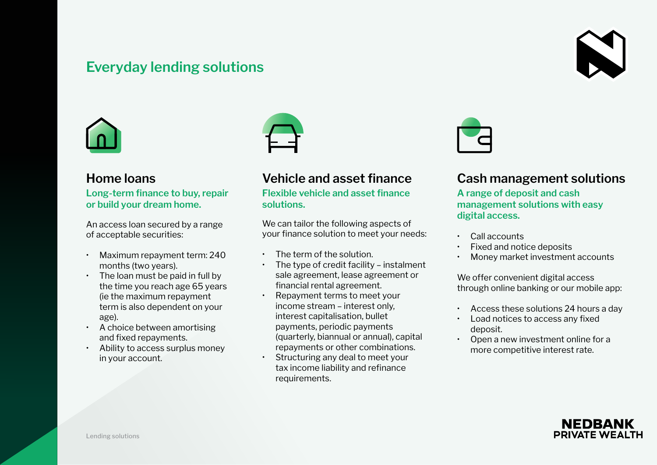## **Everyday lending solutions**





### **Home loans**

**Long-term finance to buy, repair or build your dream home.** 

An access loan secured by a range of acceptable securities:

- Maximum repayment term: 240 months (two years).
- The loan must be paid in full by the time you reach age 65 years (ie the maximum repayment term is also dependent on your age).
- A choice between amortising and fixed repayments.
- Ability to access surplus money in your account.



## **Vehicle and asset finance**

**Flexible vehicle and asset finance solutions.**

We can tailor the following aspects of your finance solution to meet your needs:

- $\cdot$  The term of the solution.
- The type of credit facility instalment sale agreement, lease agreement or financial rental agreement.
- Repayment terms to meet your income stream – interest only, interest capitalisation, bullet payments, periodic payments (quarterly, biannual or annual), capital repayments or other combinations. • Structuring any deal to meet your tax income liability and refinance requirements.



## **Cash management solutions**

**A range of deposit and cash management solutions with easy digital access.**

- Call accounts
- Fixed and notice deposits
- Money market investment accounts

We offer convenient digital access through online banking or our mobile app:

- Access these solutions 24 hours a day
- Load notices to access any fixed deposit.
- Open a new investment online for a more competitive interest rate.

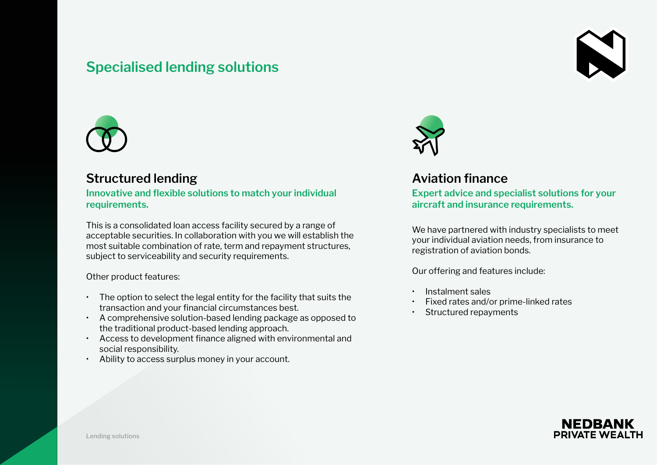## **Specialised lending solutions**





### **Structured lending**

**Innovative and flexible solutions to match your individual requirements.**

This is a consolidated loan access facility secured by a range of acceptable securities. In collaboration with you we will establish the most suitable combination of rate, term and repayment structures, subject to serviceability and security requirements.

Other product features:

- The option to select the legal entity for the facility that suits the transaction and your financial circumstances best.
- A comprehensive solution-based lending package as opposed to the traditional product-based lending approach.
- Access to development finance aligned with environmental and social responsibility.
- Ability to access surplus money in your account.



## **Aviation finance**

**Expert advice and specialist solutions for your aircraft and insurance requirements.**

We have partnered with industry specialists to meet your individual aviation needs, from insurance to registration of aviation bonds.

Our offering and features include:

- Instalment sales
- Fixed rates and/or prime-linked rates
- Structured repayments